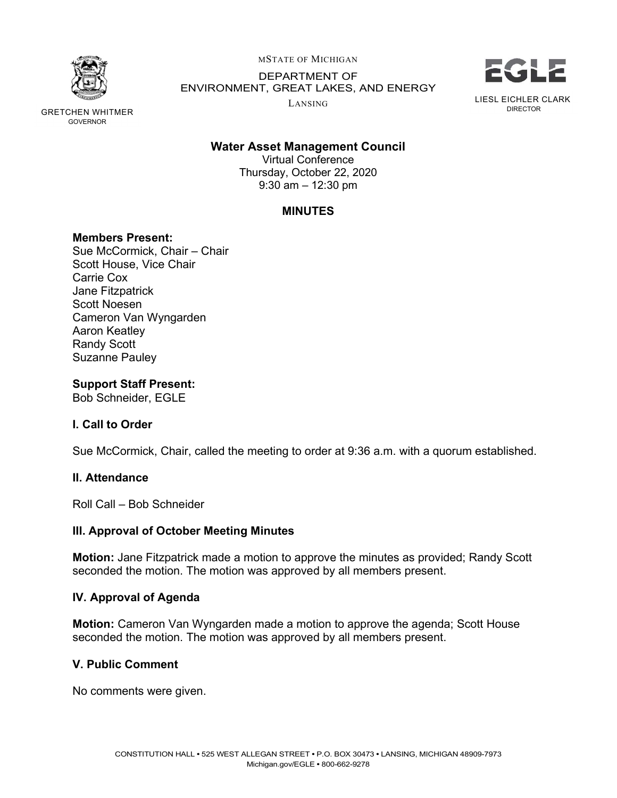

GRETCHEN WHITMER DIRECTOR GOVERNOR

MSTATE OF MICHIGAN

 DEPARTMENT OF ENVIRONMENT, GREAT LAKES, AND ENERGY

LANSING



# Water Asset Management Council

 Thursday, October 22, 2020 9:30 am – 12:30 pm Virtual Conference

# MINUTES

# Members Present:

 Sue McCormick, Chair – Chair Scott House, Vice Chair Carrie Cox Jane Fitzpatrick Scott Noesen Cameron Van Wyngarden Aaron Keatley Randy Scott Suzanne Pauley

# Support Staff Present:

Bob Schneider, EGLE

# I. Call to Order

Sue McCormick, Chair, called the meeting to order at 9:36 a.m. with a quorum established.

## II. Attendance

Roll Call – Bob Schneider

## III. Approval of October Meeting Minutes

**Motion:** Jane Fitzpatrick made a motion to approve the minutes as provided; Randy Scott seconded the motion. The motion was approved by all members present.

## IV. Approval of Agenda

Motion: Cameron Van Wyngarden made a motion to approve the agenda; Scott House seconded the motion. The motion was approved by all members present.

## V. Public Comment

No comments were given.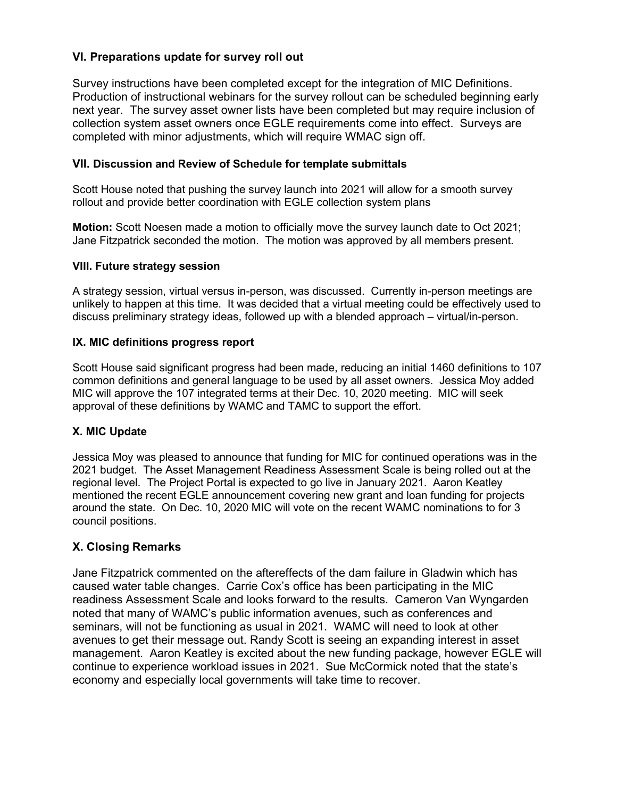# VI. Preparations update for survey roll out

 Survey instructions have been completed except for the integration of MIC Definitions. Production of instructional webinars for the survey rollout can be scheduled beginning early next year. The survey asset owner lists have been completed but may require inclusion of collection system asset owners once EGLE requirements come into effect. Surveys are completed with minor adjustments, which will require WMAC sign off.

## VII. Discussion and Review of Schedule for template submittals

 Scott House noted that pushing the survey launch into 2021 will allow for a smooth survey rollout and provide better coordination with EGLE collection system plans

Motion: Scott Noesen made a motion to officially move the survey launch date to Oct 2021; Jane Fitzpatrick seconded the motion. The motion was approved by all members present.

## VIII. Future strategy session

 A strategy session, virtual versus in-person, was discussed. Currently in-person meetings are unlikely to happen at this time. It was decided that a virtual meeting could be effectively used to discuss preliminary strategy ideas, followed up with a blended approach – virtual/in-person.

#### IX. MIC definitions progress report

 Scott House said significant progress had been made, reducing an initial 1460 definitions to 107 common definitions and general language to be used by all asset owners. Jessica Moy added MIC will approve the 107 integrated terms at their Dec. 10, 2020 meeting. MIC will seek approval of these definitions by WAMC and TAMC to support the effort.

## X. MIC Update

 Jessica Moy was pleased to announce that funding for MIC for continued operations was in the 2021 budget. The Asset Management Readiness Assessment Scale is being rolled out at the regional level. The Project Portal is expected to go live in January 2021. Aaron Keatley mentioned the recent EGLE announcement covering new grant and loan funding for projects around the state. On Dec. 10, 2020 MIC will vote on the recent WAMC nominations to for 3 council positions.

## X. Closing Remarks

 Jane Fitzpatrick commented on the aftereffects of the dam failure in Gladwin which has caused water table changes. Carrie Cox's office has been participating in the MIC readiness Assessment Scale and looks forward to the results. Cameron Van Wyngarden noted that many of WAMC's public information avenues, such as conferences and seminars, will not be functioning as usual in 2021. WAMC will need to look at other avenues to get their message out. Randy Scott is seeing an expanding interest in asset management. Aaron Keatley is excited about the new funding package, however EGLE will continue to experience workload issues in 2021. Sue McCormick noted that the state's economy and especially local governments will take time to recover.